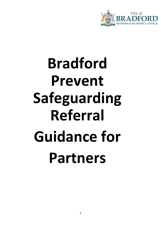

# **Bradford Prevent Safeguarding Referral Guidance for Partners**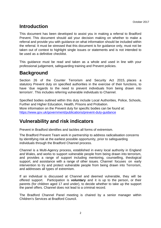# **Introduction**

This document has been developed to assist you in making a referral to Bradford Prevent. This document should aid your decision making on whether to make a referral and provide you with guidance on what information should be included within the referral. It must be stressed that this document is for guidance only, must not be taken out of context to highlight single issues or statements and is not intended to be used as a definitive checklist.

This guidance must be read and taken as a whole and used in line with your professional judgement, safeguarding training and Prevent policies.

# **Background**

Section 26 of the Counter Terrorism and Security Act 2015, places a statutory Prevent duty on specified authorities in the exercise of their functions, to have 'due regards to the need to prevent individuals from being drawn into terrorism'. This includes referring vulnerable individuals to Channel.

Specified bodies outlined within this duty include Local Authorities, Police, Schools, Further and Higher Education, Health, Prisons and Probation. More information on the Prevent duty for specific bodies can be found at: https://www.gov.uk/government/publications/prevent-duty-guidance

# **Vulnerability and risk indicators**

Prevent in Bradford identifies and tackles all forms of extremism.

The Bradford Prevent Team work in partnership to address radicalisation concerns by identifying risk at the earliest possible opportunity, prior to safeguarding individuals through the Bradford Channel process.

Channel is a Multi-Agency process, established in every local authority in England and Wales, and works to support vulnerable people from being drawn into terrorism, and provides a range of support including mentoring, counselling, theological support, and assistance with a range of other issues. Channel focuses on early intervention to try and protect vulnerable people from being drawn into Terrorism, and addresses all types of extremism.

If an individual is discussed at Channel and deemed vulnerable, they will be offered support. Participation is **voluntary** and it is up to the person, or their parents (for children aged 17 and under), to decide whether to take up the support the panel offers. Channel does not lead to a criminal record.

The Bradford Channel Panel meeting is chaired by a senior manager within Children's Services at Bradford Council.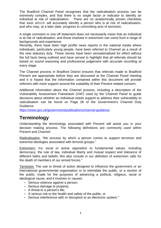The Bradford Channel Panel recognises that the radicalisation process can be extremely complex, and that there is no single factor or indicator to identify an individual at risk of radicalisation. There are no academically proven checklists that exist which will accurately identify a person who is at risk of radicalisation, and who may, at a later date, progress to committing acts of terrorism.

A single comment or one off statement does not necessarily mean that an individual is at risk of radicalisation, and those involved in extremism can come from a range of backgrounds and experience.

Recently, there have been high profile news reports in the national media where individuals, particularly young people, have been referred to Channel as a result of the new statutory duty. These stories have been sensationalised for effect without the full facts being outlined and have served to highlight that all referrals should be based on sound reasoning and professional judgement with accurate recording at every stage.

The Channel process in Bradford District ensures that referrals made to Bradford Prevent are appropriate before they are discussed at the Channel Panel meeting and it is hoped that the information contained within this document will provide referrers with more support around the suitability of their Prevent related concern.

Additional information about the Channel process, including a description of the Vulnerability Assessment Framework (VAF) used by the Channel Panel to guide decisions about whether an individual needs support to address their vulnerability to radicalisation can be found on Page 28 of the Government's Channel Duty Guidance.

https://www.gov.uk/government/publications/channel-guidance.

## **Terminology**

Understanding the terminology associated with Prevent will assist you in your decision making process. The following definitions are commonly used within Prevent and Channel:

Radicalisation: "the process by which a person comes to support terrorism and extremist ideologies associated with terrorist groups."

Extremism: the vocal or active opposition to fundamental values, including democracy, the rule of law, individual liberty and mutual respect and tolerance of different faiths and beliefs. We also include in our definition of extremism calls for the death of members of our armed forces."

Terrorism: The use or threat of action designed to influence the government or an international governmental organisation or to intimidate the public, or a section of the public; made for the purposes of advancing a political, religious, racial or ideological cause; and it involves or causes:

- Serious violence against a person;
- Serious damage to property;
- A threat to a person's life;
- A serious risk to the health and safety of the public; or
- Serious interference with or disruption to an electronic system."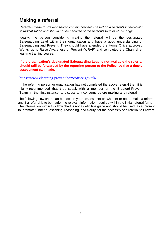## **Making a referral**

Referrals made to Prevent should contain concerns based on a person's vulnerability to radicalisation and should not be because of the person's faith or ethnic origin.

Ideally, the person considering making the referral will be the designated Safeguarding Lead within their organisation and have a good understanding of Safeguarding and Prevent. They should have attended the Home Office approved Workshop to Raise Awareness of Prevent (WRAP) and completed the Channel elearning training course.

**If the organisation's designated Safeguarding Lead is not available the referral should still be forwarded by the reporting person to the Police, so that a timely assessment can made.** 

#### https://www.elearning.prevent.homeoffice.gov.uk/

If the referring person or organisation has not completed the above referral then it is highly recommended that they speak with a member of the Bradford Prevent Team in the first instance, to discuss any concerns before making any referral.

The following flow chart can be used in your assessment on whether or not to make a referral, and if a referral is to be made, the relevant information required within the initial referral form. The information within this flow chart is not a definitive guide and should be used as a prompt to promote further questioning, reasoning, and clarity for the necessity of a referral to Prevent.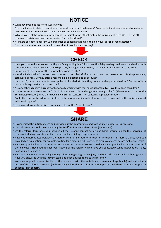# **NOTICE**

- What have you noticed? Who was involved?
- Does the incident relate to recent local, national or international events? Does the incident relate to local or national news stories? Has the individual been involved in similar incidents?
- Why do you feel the individual is vulnerable to radicalisation? What makes the individual at risk? Was it a one off comment or statement and out of context for the individual?
- Are there any other apparent vulnerabilities or concerns that make the individual at risk of radicalisation?
- Can the concern be dealt with in house or does it need wider checking?



- Have you checked your concern with your Safeguarding Lead? If you are the Safeguarding Lead have you checked with other members of your Senior Leadership Team/ management? Do they share your Prevent related concerns?
- From your checks has any other information come to light?
- Has the individual of concern been spoken to for clarity? If not, what are the reasons for this (inappropriate, safeguarding risk). Do they offer a reasonable explanation and or account?
- If under 18, have their parents been spoken to for clarity? Have they noticed a change in behaviour? Do they offer a reasonable explanation and or account?
- Are any other agencies currently or historically working with the individual or family? Have they been consulted?
- Is the concern Prevent related? Or is it more suitable under general safeguarding? (Please refer back to the Terminology section) Have there been any historical concerns, i.e. concerns at previous school?
- Could the concern be addressed in house? Is there a genuine radicalisation risk? Do you and or the individual need additional support?
- Do you need to clarify or discuss with a member of the Prevent team?



- Having raised the initial concern and carrying out the appropriate checks do you feel a referral is necessary?
- If so, all referrals should be made using the Bradford Prevent Referral Form (Appendix 1)
- On the referral form have you included all the relevant contact details and basic information for the individual of concern, including parent/ guardians details and any siblings if appropriate?
- Have you differentiated between the date of referral and date of incident or incidents? If there is a gap, have you provided an explanation, for example; waiting for a meeting with parents to discuss concerns before making referral?
- Have you provided as much detail as possible in the nature of concern box? Have you provided a rounded picture of the individual? Have you detailed your actions as the referrer? Who have you consulted? What intervention, if any, have you put in place?
- Have you made any other Safeguarding referrals regarding the subject, or discussed the case with other agencies? Have you discussed with the Prevent team and been advised to make this referral?
- We encourage all referrers to discuss their concerns with the individual and parents (if applicable) and make them aware of the referral to Prevent (with reasons) unless sharing this information places the individual or another person at serious risk of harm.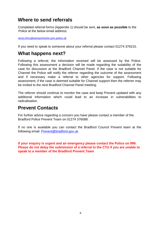## **Where to send referrals**

Completed referral forms (Appendix 1) should be sent, **as soon as possible** to the Police at the below email address:

nectu.fimu@westyorkshire.pnn.police.uk

If you need to speak to someone about your referral please contact 01274 376215.

## **What happens next?**

Following a referral, the information received will be assessed by the Police. Following this assessment a decision will be made regarding the suitability of the case for discussion at the Bradford Channel Panel. If the case is not suitable for Channel the Police will notify the referrer regarding the outcome of the assessment and if necessary make a referral to other agencies for support. Following assessment, if the case is deemed suitable for Channel support then the referrer may be invited to the next Bradford Channel Panel meeting.

The referrer should continue to monitor the case and keep Prevent updated with any additional information which could lead to an increase in vulnerabilities to radicalisation.

## **Prevent Contacts**

For further advice regarding a concern you have please contact a member of the Bradford Police Prevent Team on 01274 376088.

If no one is available you can contact the Bradford Council Prevent team at the following email: Prevent@bradford.gov.uk

**If your enquiry is urgent and an emergency please contact the Police on 999. Please do not delay the submission of a referral to the CTU if you are unable to speak to a member of the Bradford Prevent Team**